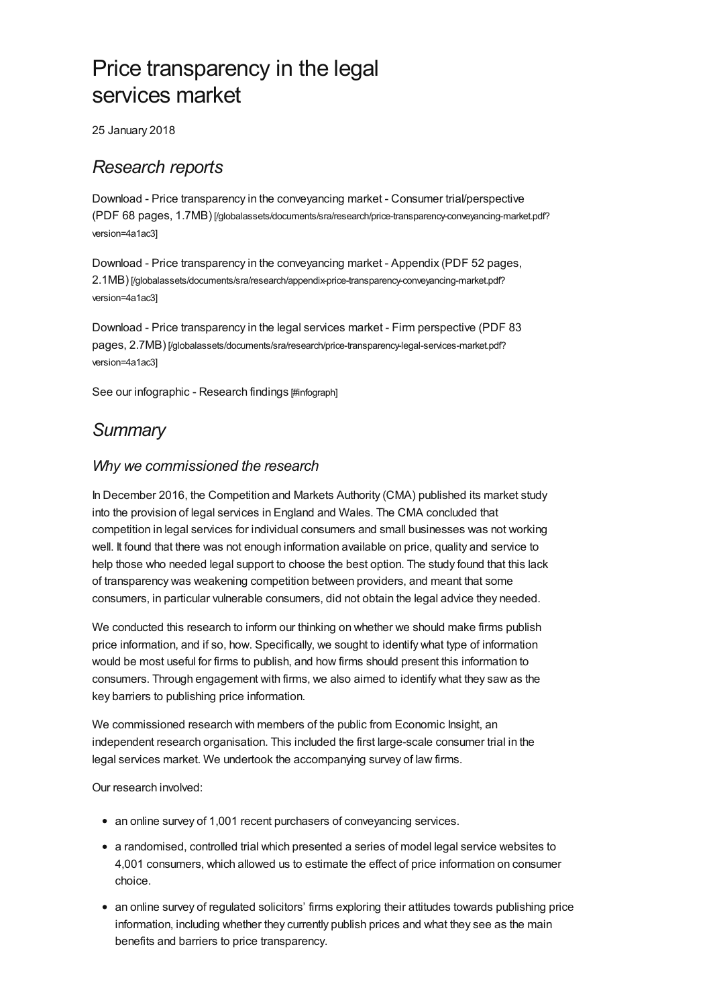# Price transparency in the legal services market

25 January 2018

### *Research reports*

Download - Price transparency in the conveyancing market - Consumer trial/perspective (PDF 68 pages, 1.7MB) [\[/globalassets/documents/sra/research/price-transparency-conveyancing-market.pdf?](https://www.sra.org.uk/globalassets/documents/sra/research/price-transparency-conveyancing-market.pdf?version=4a1ac3) version=4a1ac3]

Download - Price transparency in the conveyancing market - Appendix (PDF 52 pages, 2.1MB) [\[/globalassets/documents/sra/research/appendix-price-transparency-conveyancing-market.pdf?](https://www.sra.org.uk/globalassets/documents/sra/research/appendix-price-transparency-conveyancing-market.pdf?version=4a1ac3) version=4a1ac3]

Download - Price transparency in the legal services market - Firm perspective (PDF 83 pages, 2.7MB) [\[/globalassets/documents/sra/research/price-transparency-legal-services-market.pdf?](https://www.sra.org.uk/globalassets/documents/sra/research/price-transparency-legal-services-market.pdf?version=4a1ac3) version=4a1ac3]

See our [infographic](#page-2-0) - Research findings [#infograph]

### *Summary*

#### *Why we commissioned the research*

In December 2016, the Competition and Markets Authority (CMA) published its market study into the provision of legal services in England and Wales. The CMA concluded that competition in legal services for individual consumers and small businesses was not working well. It found that there was not enough information available on price, quality and service to help those who needed legal support to choose the best option. The study found that this lack of transparency was weakening competition between providers, and meant that some consumers, in particular vulnerable consumers, did not obtain the legal advice they needed.

We conducted this research to inform our thinking on whether we should make firms publish price information, and if so, how. Specifically, we sought to identify what type of information would be most useful for firms to publish, and how firms should present this information to consumers. Through engagement with firms, we also aimed to identify what they saw as the key barriers to publishing price information.

We commissioned research with members of the public from Economic Insight, an independent research organisation. This included the first large-scale consumer trial in the legal services market. We undertook the accompanying survey of law firms.

Our research involved:

- an online survey of 1,001 recent purchasers of conveyancing services.
- a randomised, controlled trial which presented a series of model legal service websites to 4,001 consumers, which allowed us to estimate the effect of price information on consumer choice.
- an online survey of regulated solicitors' firms exploring their attitudes towards publishing price information, including whether they currently publish prices and what they see as the main benefits and barriers to price transparency.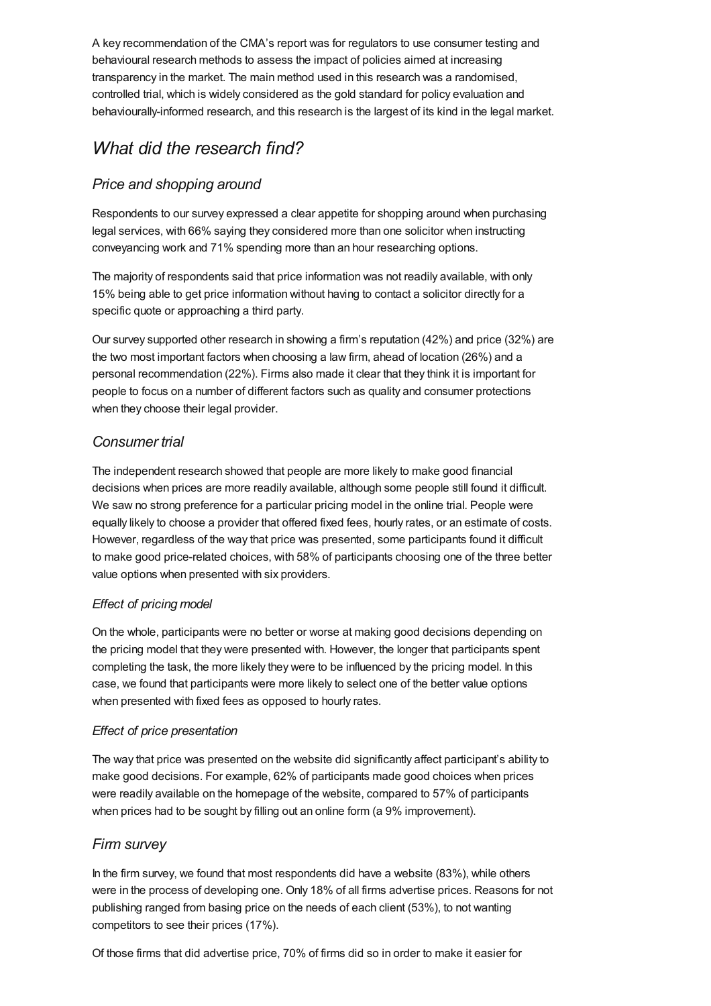A key recommendation of the CMA's report was for regulators to use consumer testing and behavioural research methods to assess the impact of policies aimed at increasing transparency in the market. The main method used in this research was a randomised, controlled trial, which is widely considered as the gold standard for policy evaluation and behaviourally-informed research, and this research is the largest of its kind in the legal market.

# *What did the research find?*

#### *Price and shopping around*

Respondents to our survey expressed a clear appetite for shopping around when purchasing legal services, with 66% saying they considered more than one solicitor when instructing conveyancing work and 71% spending more than an hour researching options.

The majority of respondents said that price information was not readily available, with only 15% being able to get price information without having to contact a solicitor directly for a specific quote or approaching a third party.

Our survey supported other research in showing a firm's reputation (42%) and price (32%) are the two most important factors when choosing a law firm, ahead of location (26%) and a personal recommendation (22%). Firms also made it clear that they think it is important for people to focus on a number of different factors such as quality and consumer protections when they choose their legal provider.

#### *Consumer trial*

The independent research showed that people are more likely to make good financial decisions when prices are more readily available, although some people still found it difficult. We saw no strong preference for a particular pricing model in the online trial. People were equally likely to choose a provider that offered fixed fees, hourly rates, or an estimate of costs. However, regardless of the way that price was presented, some participants found it difficult to make good price-related choices, with 58% of participants choosing one of the three better value options when presented with six providers.

#### *Effect of pricing model*

On the whole, participants were no better or worse at making good decisions depending on the pricing model that they were presented with. However, the longer that participants spent completing the task, the more likely they were to be influenced by the pricing model. In this case, we found that participants were more likely to select one of the better value options when presented with fixed fees as opposed to hourly rates.

#### *Effect of price presentation*

The way that price was presented on the website did significantly affect participant's ability to make good decisions. For example, 62% of participants made good choices when prices were readily available on the homepage of the website, compared to 57% of participants when prices had to be sought by filling out an online form (a 9% improvement).

#### *Firm survey*

In the firm survey, we found that most respondents did have a website (83%), while others were in the process of developing one. Only 18% of all firms advertise prices. Reasons for not publishing ranged from basing price on the needs of each client (53%), to not wanting competitors to see their prices (17%).

Of those firms that did advertise price, 70% of firms did so in order to make it easier for